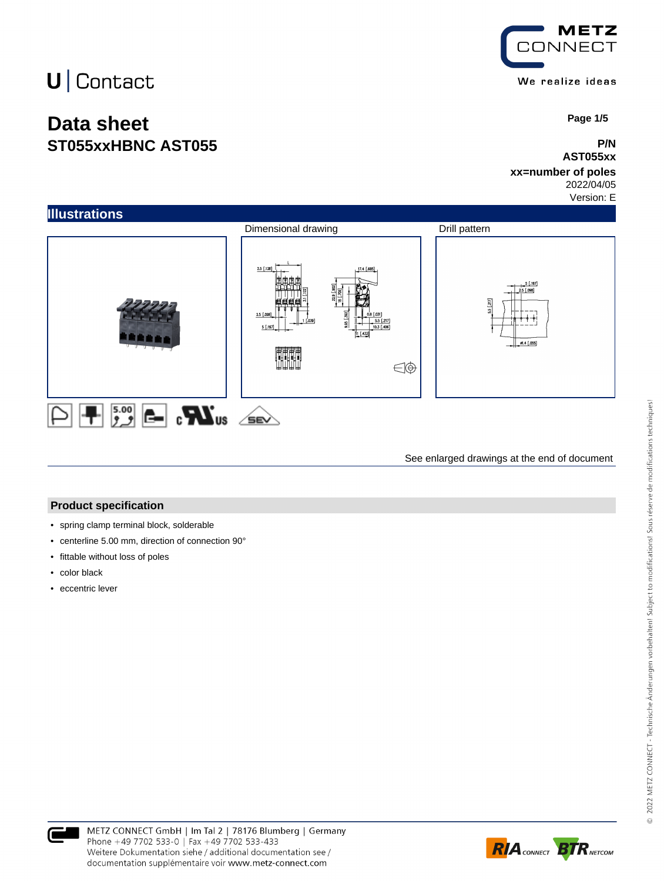## **Data sheet ST055xxHBNC AST055**



 **Page 1/5**

#### **P/N AST055xx**

### **xx=number of poles**

2022/04/05 Version: E

**Illustrations** Dimensional drawing Drill pattern  $3.5 [.138]$  $1.197$  $2.5$  [.  $5.15$ € Ŧ

See enlarged drawings at the end of document

#### **Product specification**

- spring clamp terminal block, solderable
- centerline 5.00 mm, direction of connection 90°
- fittable without loss of poles
- color black
- eccentric lever



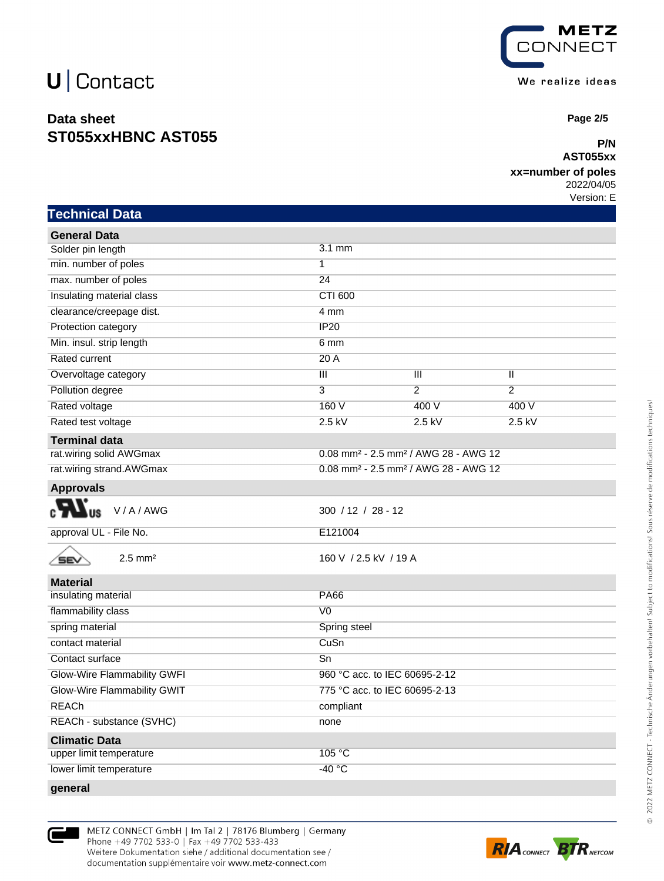### **Data sheet ST055xxHBNC AST055**



 **Page 2/5**

#### **P/N AST055xx**

#### **xx=number of poles**

2022/04/05 Version: E

| <b>Technical Data</b> |  |
|-----------------------|--|
|                       |  |

| <b>General Data</b>          |                                                              |                |                |
|------------------------------|--------------------------------------------------------------|----------------|----------------|
| Solder pin length            | $3.1 \text{ mm}$                                             |                |                |
| min. number of poles         | $\overline{1}$                                               |                |                |
| max. number of poles         | 24                                                           |                |                |
| Insulating material class    | CTI 600                                                      |                |                |
| clearance/creepage dist.     | 4 mm                                                         |                |                |
| Protection category          | IP20                                                         |                |                |
| Min. insul. strip length     | 6 <sub>mm</sub>                                              |                |                |
| <b>Rated current</b>         | 20A                                                          |                |                |
| Overvoltage category         | Ш                                                            | Ш              | Ш              |
| Pollution degree             | $\overline{3}$                                               | $\overline{2}$ | $\overline{2}$ |
| Rated voltage                | 160V                                                         | 400 V          | 400 V          |
| Rated test voltage           | $2.5$ kV                                                     | $2.5$ kV       | $2.5$ kV       |
| <b>Terminal data</b>         |                                                              |                |                |
| rat.wiring solid AWGmax      | 0.08 mm <sup>2</sup> - 2.5 mm <sup>2</sup> / AWG 28 - AWG 12 |                |                |
| rat.wiring strand.AWGmax     | 0.08 mm <sup>2</sup> - 2.5 mm <sup>2</sup> / AWG 28 - AWG 12 |                |                |
| <b>Approvals</b>             |                                                              |                |                |
| V/A/AWG<br>US                | $300 / 12 / 28 - 12$                                         |                |                |
| approval UL - File No.       | E121004                                                      |                |                |
| $2.5$ mm <sup>2</sup><br>SEV | 160 V / 2.5 kV / 19 A                                        |                |                |
| <b>Material</b>              |                                                              |                |                |
| insulating material          | <b>PA66</b>                                                  |                |                |
| flammability class           | V <sub>0</sub>                                               |                |                |
| spring material              | Spring steel                                                 |                |                |
| contact material             | CuSn                                                         |                |                |
| Contact surface              | Sn                                                           |                |                |
| Glow-Wire Flammability GWFI  | 960 °C acc. to IEC 60695-2-12                                |                |                |
| Glow-Wire Flammability GWIT  | 775 °C acc. to IEC 60695-2-13                                |                |                |
| <b>REACh</b>                 | compliant                                                    |                |                |
| REACh - substance (SVHC)     | none                                                         |                |                |
| <b>Climatic Data</b>         |                                                              |                |                |
| upper limit temperature      | 105 °C                                                       |                |                |
| lower limit temperature      | $-40 °C$                                                     |                |                |
| qeneral                      |                                                              |                |                |





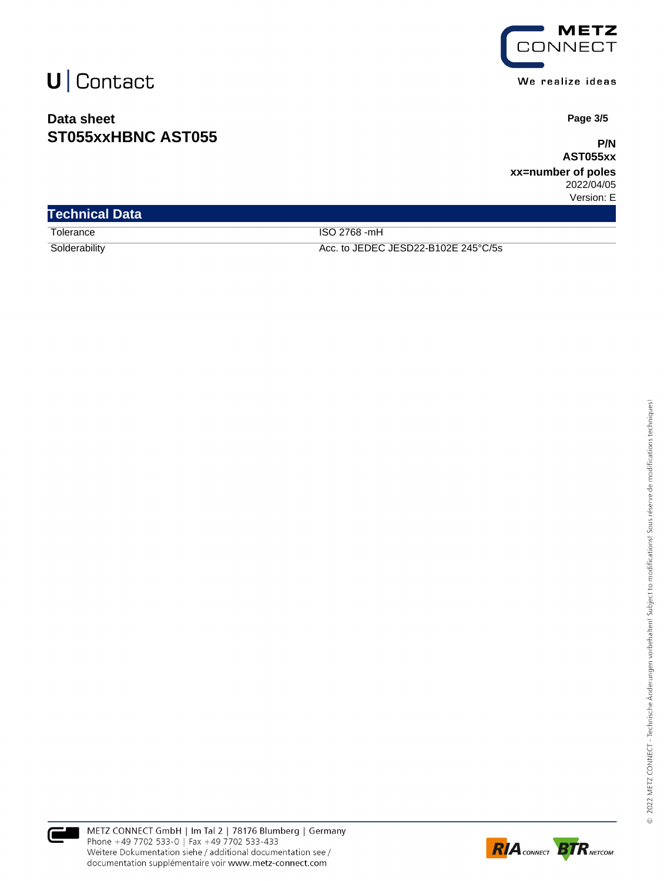### **Data sheet ST055xxHBNC AST055**



We realize ideas

 **Page 3/5**

**P/N AST055xx**

**xx=number of poles** 2022/04/05 Version: E

| <b>Technical Data</b> |                                     |  |
|-----------------------|-------------------------------------|--|
| Tolerance             | ISO 2768 -mH                        |  |
| Solderability         | Acc. to JEDEC JESD22-B102E 245°C/5s |  |



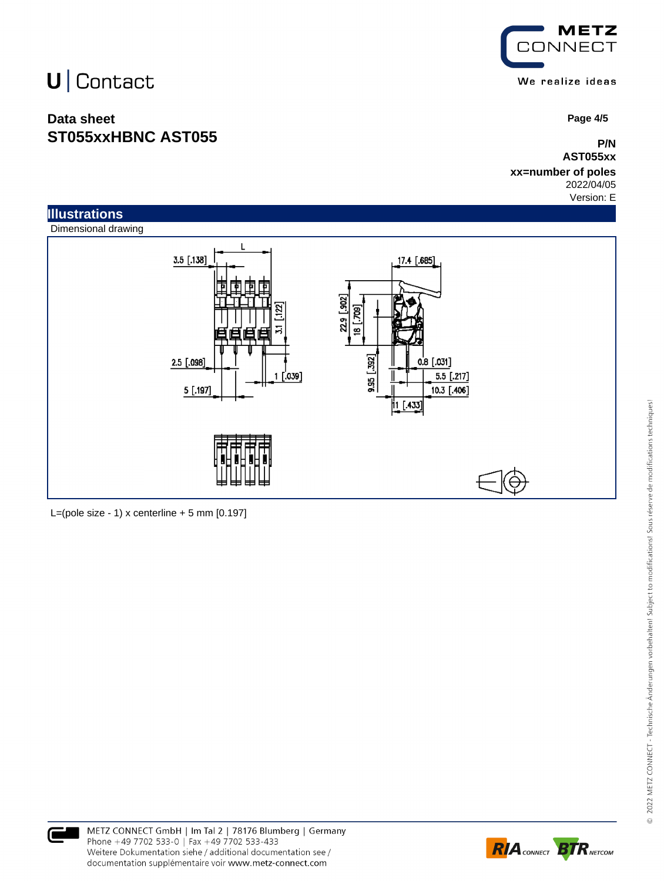### **Data sheet ST055xxHBNC AST055**



 **Page 4/5**

**P/N AST055xx**

**xx=number of poles** 2022/04/05

Version: E



L=(pole size - 1) x centerline  $+5$  mm  $[0.197]$